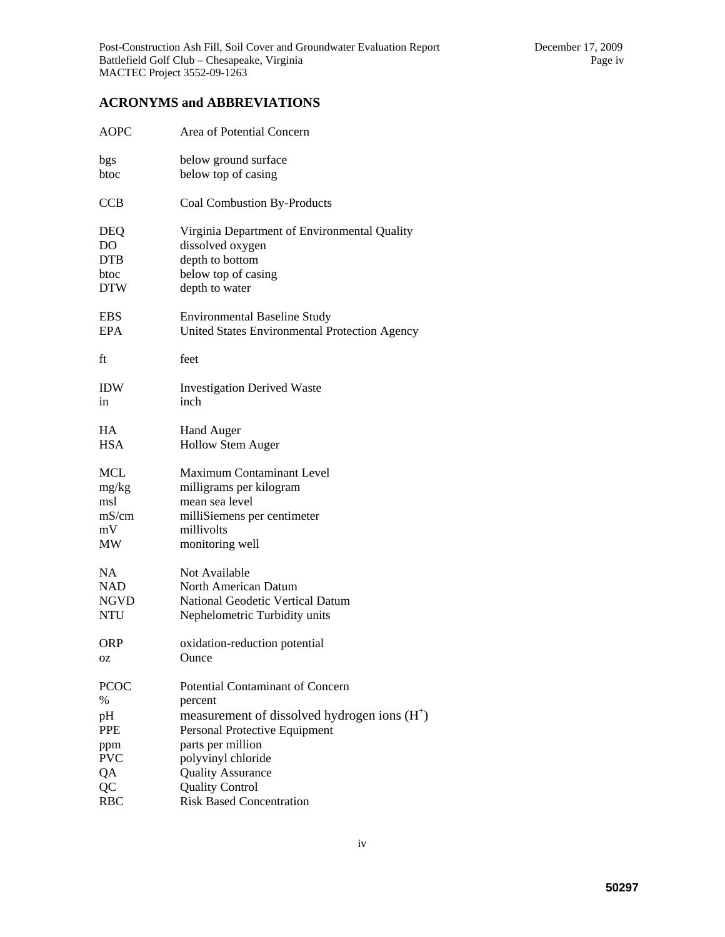## **ACRONYMS and ABBREVIATIONS**

| <b>AOPC</b> | Area of Potential Concern                     |
|-------------|-----------------------------------------------|
| bgs         | below ground surface                          |
| btoc        | below top of casing                           |
| <b>CCB</b>  | <b>Coal Combustion By-Products</b>            |
| DEQ         | Virginia Department of Environmental Quality  |
| DO          | dissolved oxygen                              |
| <b>DTB</b>  | depth to bottom                               |
| btoc        | below top of casing                           |
| <b>DTW</b>  | depth to water                                |
| <b>EBS</b>  | <b>Environmental Baseline Study</b>           |
| <b>EPA</b>  | United States Environmental Protection Agency |
| ft          | feet                                          |
| <b>IDW</b>  | <b>Investigation Derived Waste</b>            |
| in          | inch                                          |
| HA          | <b>Hand Auger</b>                             |
| <b>HSA</b>  | <b>Hollow Stem Auger</b>                      |
| MCL         | <b>Maximum Contaminant Level</b>              |
| mg/kg       | milligrams per kilogram                       |
| msl         | mean sea level                                |
| mS/cm       | milliSiemens per centimeter                   |
| mV          | millivolts                                    |
| MW          | monitoring well                               |
| NA.         | Not Available                                 |
| <b>NAD</b>  | North American Datum                          |
| <b>NGVD</b> | <b>National Geodetic Vertical Datum</b>       |
| <b>NTU</b>  | Nephelometric Turbidity units                 |
| <b>ORP</b>  | oxidation-reduction potential                 |
| ΟZ          | Ounce                                         |
| <b>PCOC</b> | <b>Potential Contaminant of Concern</b>       |
| $\%$        | percent                                       |
| pH          | measurement of dissolved hydrogen ions $(H+)$ |
| <b>PPE</b>  | Personal Protective Equipment                 |
| ppm         | parts per million                             |
| <b>PVC</b>  | polyvinyl chloride                            |
| QA          | <b>Quality Assurance</b>                      |
| QC          | <b>Quality Control</b>                        |
| <b>RBC</b>  | <b>Risk Based Concentration</b>               |